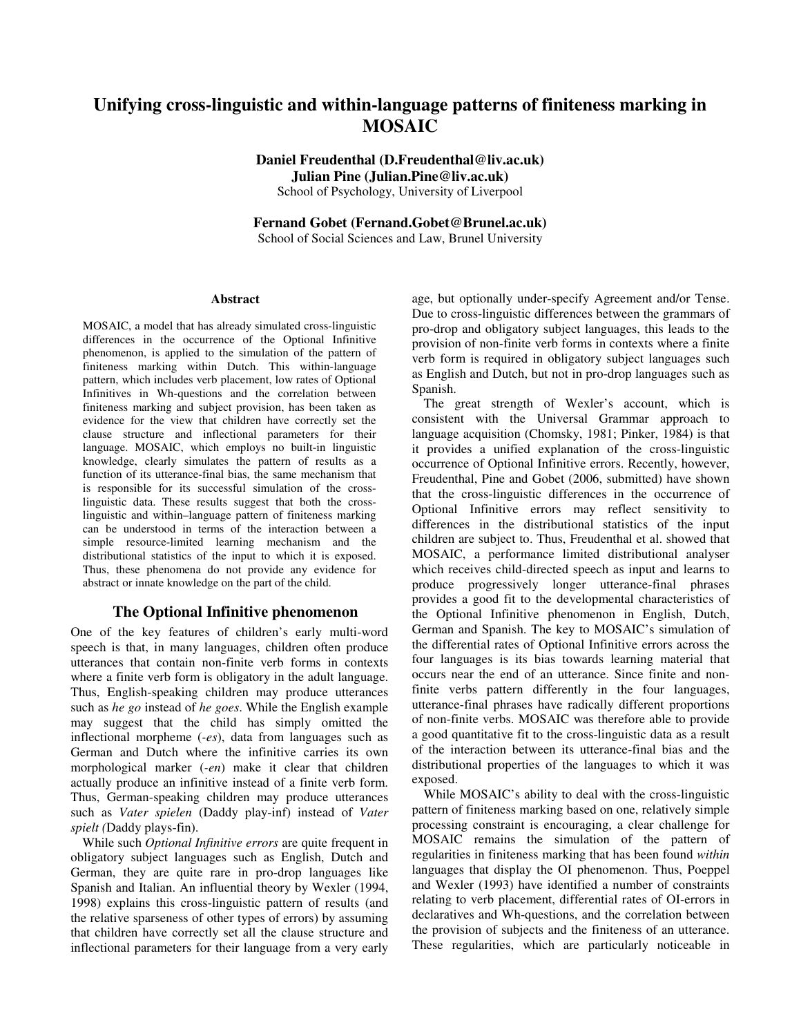# **Unifying cross-linguistic and within-language patterns of finiteness marking in MOSAIC**

**Daniel Freudenthal (D.Freudenthal@liv.ac.uk) Julian Pine (Julian.Pine@liv.ac.uk)** 

School of Psychology, University of Liverpool

**Fernand Gobet (Fernand.Gobet@Brunel.ac.uk)**  School of Social Sciences and Law, Brunel University

**Abstract** 

MOSAIC, a model that has already simulated cross-linguistic differences in the occurrence of the Optional Infinitive phenomenon, is applied to the simulation of the pattern of finiteness marking within Dutch. This within-language pattern, which includes verb placement, low rates of Optional Infinitives in Wh-questions and the correlation between finiteness marking and subject provision, has been taken as evidence for the view that children have correctly set the clause structure and inflectional parameters for their language. MOSAIC, which employs no built-in linguistic knowledge, clearly simulates the pattern of results as a function of its utterance-final bias, the same mechanism that is responsible for its successful simulation of the crosslinguistic data. These results suggest that both the crosslinguistic and within–language pattern of finiteness marking can be understood in terms of the interaction between a simple resource-limited learning mechanism and the distributional statistics of the input to which it is exposed. Thus, these phenomena do not provide any evidence for abstract or innate knowledge on the part of the child.

## **The Optional Infinitive phenomenon**

One of the key features of children's early multi-word speech is that, in many languages, children often produce utterances that contain non-finite verb forms in contexts where a finite verb form is obligatory in the adult language. Thus, English-speaking children may produce utterances such as *he go* instead of *he goes*. While the English example may suggest that the child has simply omitted the inflectional morpheme (*-es*), data from languages such as German and Dutch where the infinitive carries its own morphological marker (*-en*) make it clear that children actually produce an infinitive instead of a finite verb form. Thus, German-speaking children may produce utterances such as *Vater spielen* (Daddy play-inf) instead of *Vater spielt (*Daddy plays-fin).

While such *Optional Infinitive errors* are quite frequent in obligatory subject languages such as English, Dutch and German, they are quite rare in pro-drop languages like Spanish and Italian. An influential theory by Wexler (1994, 1998) explains this cross-linguistic pattern of results (and the relative sparseness of other types of errors) by assuming that children have correctly set all the clause structure and inflectional parameters for their language from a very early age, but optionally under-specify Agreement and/or Tense. Due to cross-linguistic differences between the grammars of pro-drop and obligatory subject languages, this leads to the provision of non-finite verb forms in contexts where a finite verb form is required in obligatory subject languages such as English and Dutch, but not in pro-drop languages such as Spanish.

The great strength of Wexler's account, which is consistent with the Universal Grammar approach to language acquisition (Chomsky, 1981; Pinker, 1984) is that it provides a unified explanation of the cross-linguistic occurrence of Optional Infinitive errors. Recently, however, Freudenthal, Pine and Gobet (2006, submitted) have shown that the cross-linguistic differences in the occurrence of Optional Infinitive errors may reflect sensitivity to differences in the distributional statistics of the input children are subject to. Thus, Freudenthal et al. showed that MOSAIC, a performance limited distributional analyser which receives child-directed speech as input and learns to produce progressively longer utterance-final phrases provides a good fit to the developmental characteristics of the Optional Infinitive phenomenon in English, Dutch, German and Spanish. The key to MOSAIC's simulation of the differential rates of Optional Infinitive errors across the four languages is its bias towards learning material that occurs near the end of an utterance. Since finite and nonfinite verbs pattern differently in the four languages, utterance-final phrases have radically different proportions of non-finite verbs. MOSAIC was therefore able to provide a good quantitative fit to the cross-linguistic data as a result of the interaction between its utterance-final bias and the distributional properties of the languages to which it was exposed.

While MOSAIC's ability to deal with the cross-linguistic pattern of finiteness marking based on one, relatively simple processing constraint is encouraging, a clear challenge for MOSAIC remains the simulation of the pattern of regularities in finiteness marking that has been found *within* languages that display the OI phenomenon. Thus, Poeppel and Wexler (1993) have identified a number of constraints relating to verb placement, differential rates of OI-errors in declaratives and Wh-questions, and the correlation between the provision of subjects and the finiteness of an utterance. These regularities, which are particularly noticeable in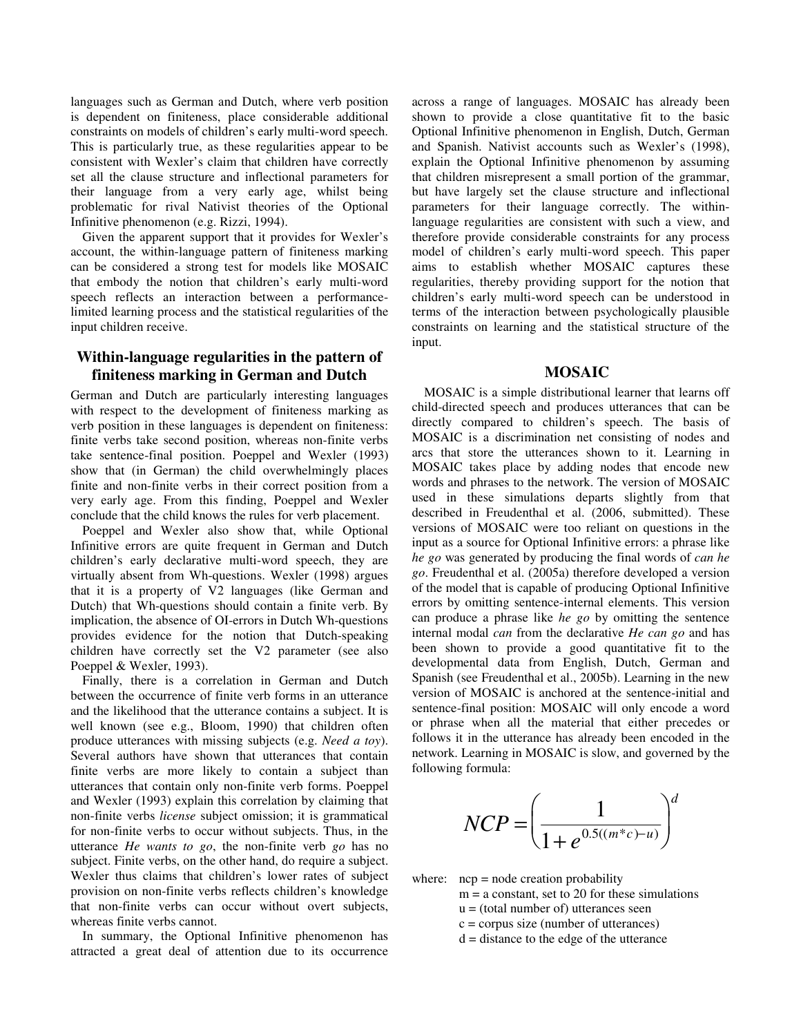languages such as German and Dutch, where verb position is dependent on finiteness, place considerable additional constraints on models of children's early multi-word speech. This is particularly true, as these regularities appear to be consistent with Wexler's claim that children have correctly set all the clause structure and inflectional parameters for their language from a very early age, whilst being problematic for rival Nativist theories of the Optional Infinitive phenomenon (e.g. Rizzi, 1994).

Given the apparent support that it provides for Wexler's account, the within-language pattern of finiteness marking can be considered a strong test for models like MOSAIC that embody the notion that children's early multi-word speech reflects an interaction between a performancelimited learning process and the statistical regularities of the input children receive.

## **Within-language regularities in the pattern of finiteness marking in German and Dutch**

German and Dutch are particularly interesting languages with respect to the development of finiteness marking as verb position in these languages is dependent on finiteness: finite verbs take second position, whereas non-finite verbs take sentence-final position. Poeppel and Wexler (1993) show that (in German) the child overwhelmingly places finite and non-finite verbs in their correct position from a very early age. From this finding, Poeppel and Wexler conclude that the child knows the rules for verb placement.

Poeppel and Wexler also show that, while Optional Infinitive errors are quite frequent in German and Dutch children's early declarative multi-word speech, they are virtually absent from Wh-questions. Wexler (1998) argues that it is a property of V2 languages (like German and Dutch) that Wh-questions should contain a finite verb. By implication, the absence of OI-errors in Dutch Wh-questions provides evidence for the notion that Dutch-speaking children have correctly set the V2 parameter (see also Poeppel & Wexler, 1993).

Finally, there is a correlation in German and Dutch between the occurrence of finite verb forms in an utterance and the likelihood that the utterance contains a subject. It is well known (see e.g., Bloom, 1990) that children often produce utterances with missing subjects (e.g. *Need a toy*). Several authors have shown that utterances that contain finite verbs are more likely to contain a subject than utterances that contain only non-finite verb forms. Poeppel and Wexler (1993) explain this correlation by claiming that non-finite verbs *license* subject omission; it is grammatical for non-finite verbs to occur without subjects. Thus, in the utterance *He wants to go*, the non-finite verb *go* has no subject. Finite verbs, on the other hand, do require a subject. Wexler thus claims that children's lower rates of subject provision on non-finite verbs reflects children's knowledge that non-finite verbs can occur without overt subjects, whereas finite verbs cannot.

In summary, the Optional Infinitive phenomenon has attracted a great deal of attention due to its occurrence across a range of languages. MOSAIC has already been shown to provide a close quantitative fit to the basic Optional Infinitive phenomenon in English, Dutch, German and Spanish. Nativist accounts such as Wexler's (1998), explain the Optional Infinitive phenomenon by assuming that children misrepresent a small portion of the grammar, but have largely set the clause structure and inflectional parameters for their language correctly. The withinlanguage regularities are consistent with such a view, and therefore provide considerable constraints for any process model of children's early multi-word speech. This paper aims to establish whether MOSAIC captures these regularities, thereby providing support for the notion that children's early multi-word speech can be understood in terms of the interaction between psychologically plausible constraints on learning and the statistical structure of the input.

#### **MOSAIC**

MOSAIC is a simple distributional learner that learns off child-directed speech and produces utterances that can be directly compared to children's speech. The basis of MOSAIC is a discrimination net consisting of nodes and arcs that store the utterances shown to it. Learning in MOSAIC takes place by adding nodes that encode new words and phrases to the network. The version of MOSAIC used in these simulations departs slightly from that described in Freudenthal et al. (2006, submitted). These versions of MOSAIC were too reliant on questions in the input as a source for Optional Infinitive errors: a phrase like *he go* was generated by producing the final words of *can he go*. Freudenthal et al. (2005a) therefore developed a version of the model that is capable of producing Optional Infinitive errors by omitting sentence-internal elements. This version can produce a phrase like *he go* by omitting the sentence internal modal *can* from the declarative *He can go* and has been shown to provide a good quantitative fit to the developmental data from English, Dutch, German and Spanish (see Freudenthal et al., 2005b). Learning in the new version of MOSAIC is anchored at the sentence-initial and sentence-final position: MOSAIC will only encode a word or phrase when all the material that either precedes or follows it in the utterance has already been encoded in the network. Learning in MOSAIC is slow, and governed by the following formula:

$$
NCP = \left(\frac{1}{1 + e^{0.5((m^*c) - u)}}\right)^d
$$

where:  $ncp = node creation probability$ 

- $m = a$  constant, set to 20 for these simulations
	- $u = (total number of)$  utterances seen
	- $c =$  corpus size (number of utterances)
	- d = distance to the edge of the utterance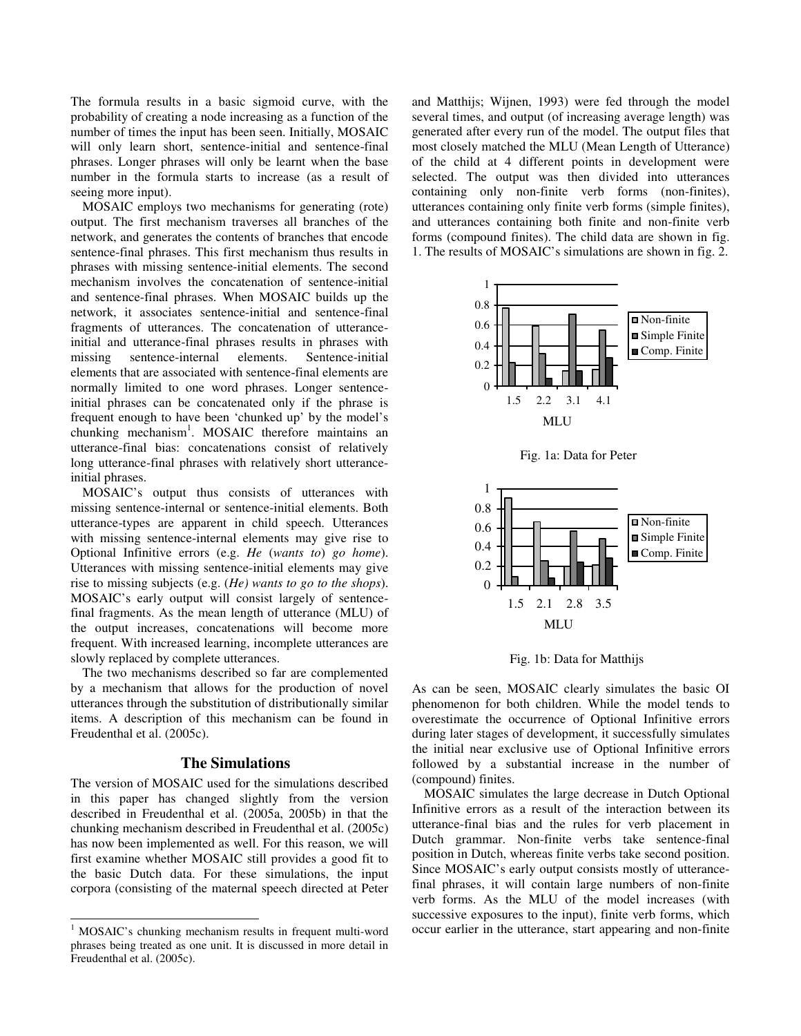The formula results in a basic sigmoid curve, with the probability of creating a node increasing as a function of the number of times the input has been seen. Initially, MOSAIC will only learn short, sentence-initial and sentence-final phrases. Longer phrases will only be learnt when the base number in the formula starts to increase (as a result of seeing more input).

MOSAIC employs two mechanisms for generating (rote) output. The first mechanism traverses all branches of the network, and generates the contents of branches that encode sentence-final phrases. This first mechanism thus results in phrases with missing sentence-initial elements. The second mechanism involves the concatenation of sentence-initial and sentence-final phrases. When MOSAIC builds up the network, it associates sentence-initial and sentence-final fragments of utterances. The concatenation of utteranceinitial and utterance-final phrases results in phrases with missing sentence-internal elements. Sentence-initial elements that are associated with sentence-final elements are normally limited to one word phrases. Longer sentenceinitial phrases can be concatenated only if the phrase is frequent enough to have been 'chunked up' by the model's chunking mechanism<sup>1</sup>. MOSAIC therefore maintains an utterance-final bias: concatenations consist of relatively long utterance-final phrases with relatively short utteranceinitial phrases.

MOSAIC's output thus consists of utterances with missing sentence-internal or sentence-initial elements. Both utterance-types are apparent in child speech. Utterances with missing sentence-internal elements may give rise to Optional Infinitive errors (e.g. *He* (*wants to*) *go home*). Utterances with missing sentence-initial elements may give rise to missing subjects (e.g. (*He) wants to go to the shops*). MOSAIC's early output will consist largely of sentencefinal fragments. As the mean length of utterance (MLU) of the output increases, concatenations will become more frequent. With increased learning, incomplete utterances are slowly replaced by complete utterances.

The two mechanisms described so far are complemented by a mechanism that allows for the production of novel utterances through the substitution of distributionally similar items. A description of this mechanism can be found in Freudenthal et al. (2005c).

#### **The Simulations**

The version of MOSAIC used for the simulations described in this paper has changed slightly from the version described in Freudenthal et al. (2005a, 2005b) in that the chunking mechanism described in Freudenthal et al. (2005c) has now been implemented as well. For this reason, we will first examine whether MOSAIC still provides a good fit to the basic Dutch data. For these simulations, the input corpora (consisting of the maternal speech directed at Peter and Matthijs; Wijnen, 1993) were fed through the model several times, and output (of increasing average length) was generated after every run of the model. The output files that most closely matched the MLU (Mean Length of Utterance) of the child at 4 different points in development were selected. The output was then divided into utterances containing only non-finite verb forms (non-finites), utterances containing only finite verb forms (simple finites), and utterances containing both finite and non-finite verb forms (compound finites). The child data are shown in fig. 1. The results of MOSAIC's simulations are shown in fig. 2.



Fig. 1a: Data for Peter



Fig. 1b: Data for Matthijs

As can be seen, MOSAIC clearly simulates the basic OI phenomenon for both children. While the model tends to overestimate the occurrence of Optional Infinitive errors during later stages of development, it successfully simulates the initial near exclusive use of Optional Infinitive errors followed by a substantial increase in the number of (compound) finites.

MOSAIC simulates the large decrease in Dutch Optional Infinitive errors as a result of the interaction between its utterance-final bias and the rules for verb placement in Dutch grammar. Non-finite verbs take sentence-final position in Dutch, whereas finite verbs take second position. Since MOSAIC's early output consists mostly of utterancefinal phrases, it will contain large numbers of non-finite verb forms. As the MLU of the model increases (with successive exposures to the input), finite verb forms, which occur earlier in the utterance, start appearing and non-finite

 1 MOSAIC's chunking mechanism results in frequent multi-word phrases being treated as one unit. It is discussed in more detail in Freudenthal et al. (2005c).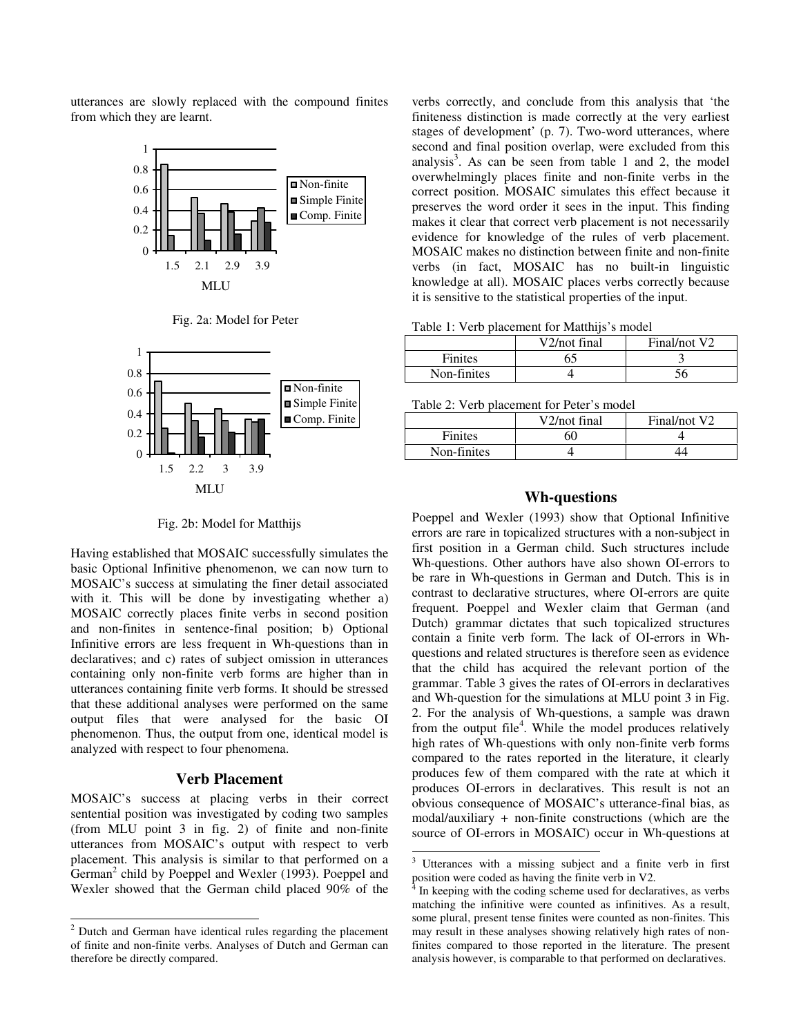utterances are slowly replaced with the compound finites from which they are learnt.







Fig. 2b: Model for Matthijs

Having established that MOSAIC successfully simulates the basic Optional Infinitive phenomenon, we can now turn to MOSAIC's success at simulating the finer detail associated with it. This will be done by investigating whether a) MOSAIC correctly places finite verbs in second position and non-finites in sentence-final position; b) Optional Infinitive errors are less frequent in Wh-questions than in declaratives; and c) rates of subject omission in utterances containing only non-finite verb forms are higher than in utterances containing finite verb forms. It should be stressed that these additional analyses were performed on the same output files that were analysed for the basic OI phenomenon. Thus, the output from one, identical model is analyzed with respect to four phenomena.

## **Verb Placement**

MOSAIC's success at placing verbs in their correct sentential position was investigated by coding two samples (from MLU point 3 in fig. 2) of finite and non-finite utterances from MOSAIC's output with respect to verb placement. This analysis is similar to that performed on a German<sup>2</sup> child by Poeppel and Wexler (1993). Poeppel and Wexler showed that the German child placed 90% of the

verbs correctly, and conclude from this analysis that 'the finiteness distinction is made correctly at the very earliest stages of development' (p. 7). Two-word utterances, where second and final position overlap, were excluded from this analysis<sup>3</sup>. As can be seen from table 1 and 2, the model overwhelmingly places finite and non-finite verbs in the correct position. MOSAIC simulates this effect because it preserves the word order it sees in the input. This finding makes it clear that correct verb placement is not necessarily evidence for knowledge of the rules of verb placement. MOSAIC makes no distinction between finite and non-finite verbs (in fact, MOSAIC has no built-in linguistic knowledge at all). MOSAIC places verbs correctly because it is sensitive to the statistical properties of the input.

Table 1: Verb placement for Matthijs's model

|                | V2/not final | Final/not V2 |
|----------------|--------------|--------------|
| <b>Finites</b> |              |              |
| Non-finites    |              |              |

Table 2: Verb placement for Peter's model

|                | V2/not final | Final/not V2 |  |
|----------------|--------------|--------------|--|
| <b>Finites</b> |              |              |  |
| Non-finites    |              |              |  |
|                |              |              |  |

## **Wh-questions**

Poeppel and Wexler (1993) show that Optional Infinitive errors are rare in topicalized structures with a non-subject in first position in a German child. Such structures include Wh-questions. Other authors have also shown OI-errors to be rare in Wh-questions in German and Dutch. This is in contrast to declarative structures, where OI-errors are quite frequent. Poeppel and Wexler claim that German (and Dutch) grammar dictates that such topicalized structures contain a finite verb form. The lack of OI-errors in Whquestions and related structures is therefore seen as evidence that the child has acquired the relevant portion of the grammar. Table 3 gives the rates of OI-errors in declaratives and Wh-question for the simulations at MLU point 3 in Fig. 2. For the analysis of Wh-questions, a sample was drawn from the output file<sup>4</sup>. While the model produces relatively high rates of Wh-questions with only non-finite verb forms compared to the rates reported in the literature, it clearly produces few of them compared with the rate at which it produces OI-errors in declaratives. This result is not an obvious consequence of MOSAIC's utterance-final bias, as modal/auxiliary + non-finite constructions (which are the source of OI-errors in MOSAIC) occur in Wh-questions at

-

 2 Dutch and German have identical rules regarding the placement of finite and non-finite verbs. Analyses of Dutch and German can therefore be directly compared.

<sup>3</sup> Utterances with a missing subject and a finite verb in first position were coded as having the finite verb in V2.<br><sup>4</sup> In keeping with the coding scheme used for declare

In keeping with the coding scheme used for declaratives, as verbs matching the infinitive were counted as infinitives. As a result, some plural, present tense finites were counted as non-finites. This may result in these analyses showing relatively high rates of nonfinites compared to those reported in the literature. The present analysis however, is comparable to that performed on declaratives.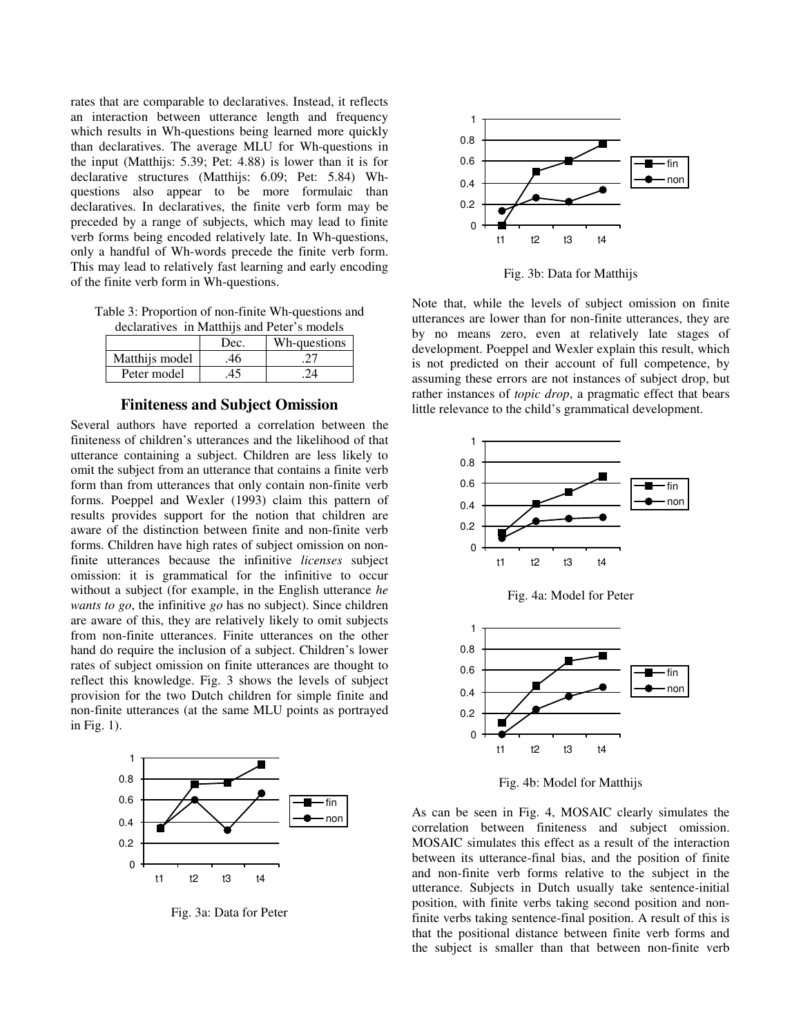rates that are comparable to declaratives. Instead, it reflects an interaction between utterance length and frequency which results in Wh-questions being learned more quickly than declaratives. The average MLU for Wh-questions in the input (Matthijs: 5.39; Pet: 4.88) is lower than it is for declarative structures (Matthijs: 6.09; Pet: 5.84) Whquestions also appear to be more formulaic than declaratives. In declaratives, the finite verb form may be preceded by a range of subjects, which may lead to finite verb forms being encoded relatively late. In Wh-questions, only a handful of Wh-words precede the finite verb form. This may lead to relatively fast learning and early encoding of the finite verb form in Wh-questions.

Table 3: Proportion of non-finite Wh-questions and declaratives in Matthijs and Peter's models

|                | Dec. | Wh-questions |
|----------------|------|--------------|
| Matthijs model |      |              |
| Peter model    |      |              |

## **Finiteness and Subject Omission**

Several authors have reported a correlation between the finiteness of children's utterances and the likelihood of that utterance containing a subject. Children are less likely to omit the subject from an utterance that contains a finite verb form than from utterances that only contain non-finite verb forms. Poeppel and Wexler (1993) claim this pattern of results provides support for the notion that children are aware of the distinction between finite and non-finite verb forms. Children have high rates of subject omission on nonfinite utterances because the infinitive *licenses* subject omission: it is grammatical for the infinitive to occur without a subject (for example, in the English utterance *he wants to go*, the infinitive *go* has no subject). Since children are aware of this, they are relatively likely to omit subjects from non-finite utterances. Finite utterances on the other hand do require the inclusion of a subject. Children's lower rates of subject omission on finite utterances are thought to reflect this knowledge. Fig. 3 shows the levels of subject provision for the two Dutch children for simple finite and non-finite utterances (at the same MLU points as portrayed in Fig. 1).



Fig. 3a: Data for Peter



Fig. 3b: Data for Matthijs

Note that, while the levels of subject omission on finite utterances are lower than for non-finite utterances, they are by no means zero, even at relatively late stages of development. Poeppel and Wexler explain this result, which is not predicted on their account of full competence, by assuming these errors are not instances of subject drop, but rather instances of *topic drop*, a pragmatic effect that bears little relevance to the child's grammatical development.







Fig. 4b: Model for Matthijs

As can be seen in Fig. 4, MOSAIC clearly simulates the correlation between finiteness and subject omission. MOSAIC simulates this effect as a result of the interaction between its utterance-final bias, and the position of finite and non-finite verb forms relative to the subject in the utterance. Subjects in Dutch usually take sentence-initial position, with finite verbs taking second position and nonfinite verbs taking sentence-final position. A result of this is that the positional distance between finite verb forms and the subject is smaller than that between non-finite verb